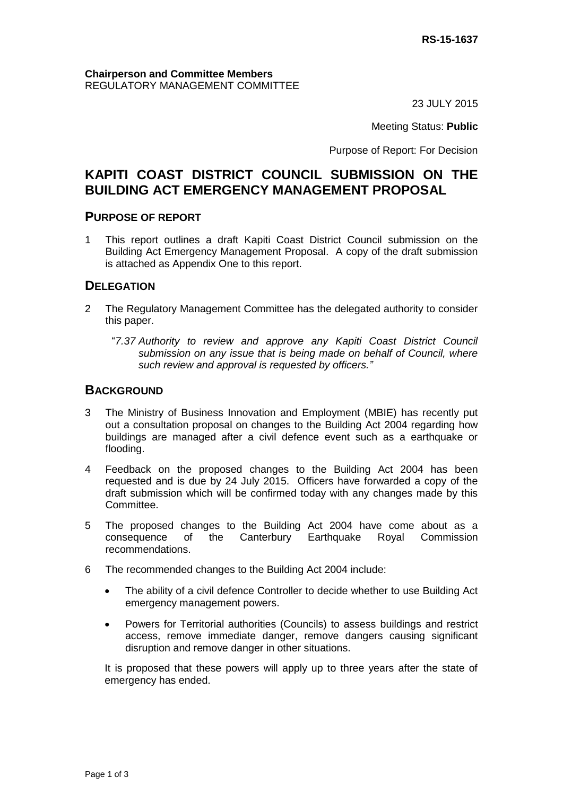23 JULY 2015

Meeting Status: **Public**

Purpose of Report: For Decision

# **KAPITI COAST DISTRICT COUNCIL SUBMISSION ON THE BUILDING ACT EMERGENCY MANAGEMENT PROPOSAL**

#### **PURPOSE OF REPORT**

1 This report outlines a draft Kapiti Coast District Council submission on the Building Act Emergency Management Proposal. A copy of the draft submission is attached as Appendix One to this report.

## **DELEGATION**

- 2 The Regulatory Management Committee has the delegated authority to consider this paper.
	- "*7.37 Authority to review and approve any Kapiti Coast District Council submission on any issue that is being made on behalf of Council, where such review and approval is requested by officers."*

## **BACKGROUND**

- 3 The Ministry of Business Innovation and Employment (MBIE) has recently put out a consultation proposal on changes to the Building Act 2004 regarding how buildings are managed after a civil defence event such as a earthquake or flooding.
- 4 Feedback on the proposed changes to the Building Act 2004 has been requested and is due by 24 July 2015. Officers have forwarded a copy of the draft submission which will be confirmed today with any changes made by this Committee.
- 5 The proposed changes to the Building Act 2004 have come about as a consequence of the Canterbury Earthquake Royal Commission recommendations.
- 6 The recommended changes to the Building Act 2004 include:
	- The ability of a civil defence Controller to decide whether to use Building Act emergency management powers.
	- Powers for Territorial authorities (Councils) to assess buildings and restrict access, remove immediate danger, remove dangers causing significant disruption and remove danger in other situations.

It is proposed that these powers will apply up to three years after the state of emergency has ended.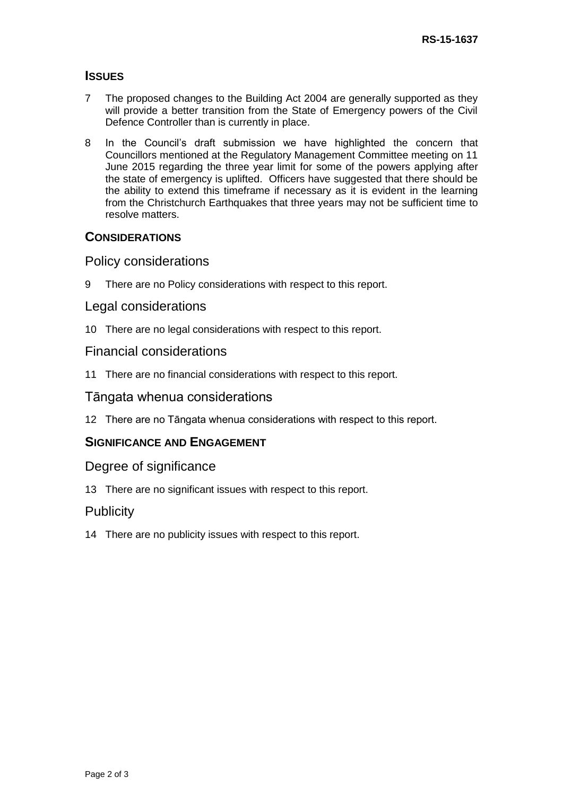# **ISSUES**

- 7 The proposed changes to the Building Act 2004 are generally supported as they will provide a better transition from the State of Emergency powers of the Civil Defence Controller than is currently in place.
- 8 In the Council's draft submission we have highlighted the concern that Councillors mentioned at the Regulatory Management Committee meeting on 11 June 2015 regarding the three year limit for some of the powers applying after the state of emergency is uplifted. Officers have suggested that there should be the ability to extend this timeframe if necessary as it is evident in the learning from the Christchurch Earthquakes that three years may not be sufficient time to resolve matters.

## **CONSIDERATIONS**

# Policy considerations

9 There are no Policy considerations with respect to this report.

#### Legal considerations

10 There are no legal considerations with respect to this report.

#### Financial considerations

11 There are no financial considerations with respect to this report.

#### Tāngata whenua considerations

12 There are no Tāngata whenua considerations with respect to this report.

## **SIGNIFICANCE AND ENGAGEMENT**

#### Degree of significance

13 There are no significant issues with respect to this report.

## **Publicity**

14 There are no publicity issues with respect to this report.